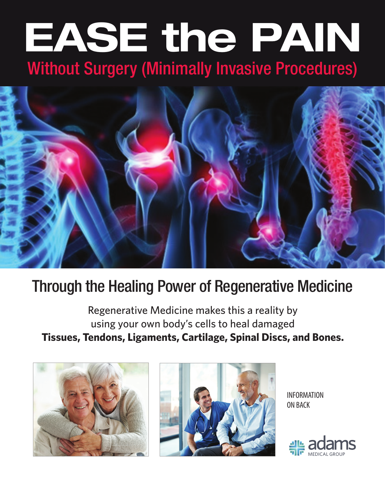# **EASE the PAIN** Without Surgery (Minimally Invasive Procedures)



## Through the Healing Power of Regenerative Medicine

Regenerative Medicine makes this a reality by using your own body's cells to heal damaged **Tissues, Tendons, Ligaments, Cartilage, Spinal Discs, and Bones.**





INFORMATION ON BACK